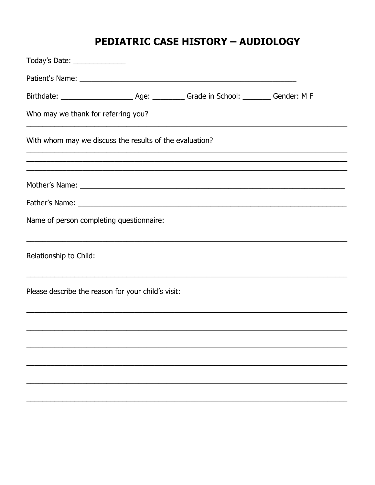## **PEDIATRIC CASE HISTORY - AUDIOLOGY**

| Today's Date: ______________                                                                                      |  |  |
|-------------------------------------------------------------------------------------------------------------------|--|--|
|                                                                                                                   |  |  |
|                                                                                                                   |  |  |
| Who may we thank for referring you?                                                                               |  |  |
| With whom may we discuss the results of the evaluation?                                                           |  |  |
|                                                                                                                   |  |  |
|                                                                                                                   |  |  |
| Name of person completing questionnaire:                                                                          |  |  |
| Relationship to Child:                                                                                            |  |  |
| <u> 1989 - Johann Stoff, amerikansk politiker (d. 1989)</u><br>Please describe the reason for your child's visit: |  |  |
|                                                                                                                   |  |  |
|                                                                                                                   |  |  |
|                                                                                                                   |  |  |
|                                                                                                                   |  |  |
|                                                                                                                   |  |  |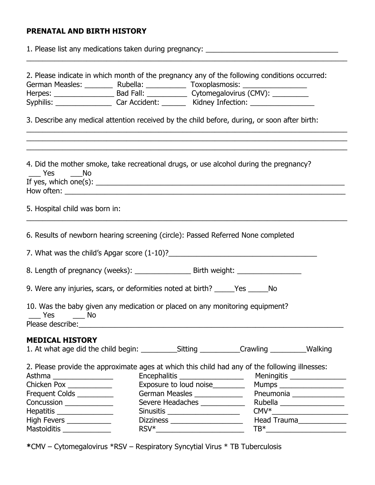## **PRENATAL AND BIRTH HISTORY**

| 1. Please list any medications taken during pregnancy: _________________________                                                                                                                                                               |  |                                                                                                                                                                                                                        |                                                                                                                                                                                                                                                                                                                                                                                     |                                                                                                                                                              |  |  |  |  |
|------------------------------------------------------------------------------------------------------------------------------------------------------------------------------------------------------------------------------------------------|--|------------------------------------------------------------------------------------------------------------------------------------------------------------------------------------------------------------------------|-------------------------------------------------------------------------------------------------------------------------------------------------------------------------------------------------------------------------------------------------------------------------------------------------------------------------------------------------------------------------------------|--------------------------------------------------------------------------------------------------------------------------------------------------------------|--|--|--|--|
|                                                                                                                                                                                                                                                |  |                                                                                                                                                                                                                        | 2. Please indicate in which month of the pregnancy any of the following conditions occurred:<br>German Measles: ___________ Rubella: ______________ Toxoplasmosis: ______________<br>Syphilis: ____________________Car Accident: __________ Kidney Infection: __________________________                                                                                            |                                                                                                                                                              |  |  |  |  |
|                                                                                                                                                                                                                                                |  |                                                                                                                                                                                                                        | 3. Describe any medical attention received by the child before, during, or soon after birth:                                                                                                                                                                                                                                                                                        |                                                                                                                                                              |  |  |  |  |
| Yes No<br>How often: <u>the contract of the contract of the contract of the contract of the contract of the contract of the contract of the contract of the contract of the contract of the contract of the contract of the contract of th</u> |  |                                                                                                                                                                                                                        | 4. Did the mother smoke, take recreational drugs, or use alcohol during the pregnancy?<br>If yes, which one(s): $\frac{1}{2}$ and $\frac{1}{2}$ and $\frac{1}{2}$ and $\frac{1}{2}$ and $\frac{1}{2}$ and $\frac{1}{2}$ and $\frac{1}{2}$ and $\frac{1}{2}$ and $\frac{1}{2}$ and $\frac{1}{2}$ and $\frac{1}{2}$ and $\frac{1}{2}$ and $\frac{1}{2}$ and $\frac{1}{2}$ and $\frac$ |                                                                                                                                                              |  |  |  |  |
| 5. Hospital child was born in:                                                                                                                                                                                                                 |  |                                                                                                                                                                                                                        |                                                                                                                                                                                                                                                                                                                                                                                     |                                                                                                                                                              |  |  |  |  |
|                                                                                                                                                                                                                                                |  |                                                                                                                                                                                                                        | 6. Results of newborn hearing screening (circle): Passed Referred None completed                                                                                                                                                                                                                                                                                                    |                                                                                                                                                              |  |  |  |  |
|                                                                                                                                                                                                                                                |  |                                                                                                                                                                                                                        | 7. What was the child's Apgar score (1-10)?                                                                                                                                                                                                                                                                                                                                         |                                                                                                                                                              |  |  |  |  |
|                                                                                                                                                                                                                                                |  |                                                                                                                                                                                                                        |                                                                                                                                                                                                                                                                                                                                                                                     |                                                                                                                                                              |  |  |  |  |
| 9. Were any injuries, scars, or deformities noted at birth? ______Yes _______ No                                                                                                                                                               |  |                                                                                                                                                                                                                        |                                                                                                                                                                                                                                                                                                                                                                                     |                                                                                                                                                              |  |  |  |  |
| Yes<br>No<br>Please describe: Note: Note: Note: Note: Note: Note: Note: Note: Note: Note: Note: Note: Note: Note: Note: Not                                                                                                                    |  |                                                                                                                                                                                                                        | 10. Was the baby given any medication or placed on any monitoring equipment?                                                                                                                                                                                                                                                                                                        |                                                                                                                                                              |  |  |  |  |
| <b>MEDICAL HISTORY</b>                                                                                                                                                                                                                         |  |                                                                                                                                                                                                                        |                                                                                                                                                                                                                                                                                                                                                                                     |                                                                                                                                                              |  |  |  |  |
| Asthma __________________<br>Chicken Pox ____________<br>Frequent Colds __________<br>Concussion _____________<br>Hepatitis ________________<br>High Fevers ____________<br>Mastoiditis _______________                                        |  | Encephalitis ____________________<br>Exposure to loud noise________<br>German Measles ______________<br>Severe Headaches ____________<br>Sinusitis _____________________<br>Dizziness _____________________<br>$RSV^*$ | 2. Please provide the approximate ages at which this child had any of the following illnesses:                                                                                                                                                                                                                                                                                      | Meningitis _________________<br>Mumps ____________________<br>Pneumonia _______________<br>Rubella ___________________<br>$CMV^*$<br>Head Trauma____________ |  |  |  |  |

**\***CMV – Cytomegalovirus \*RSV – Respiratory Syncytial Virus \* TB Tuberculosis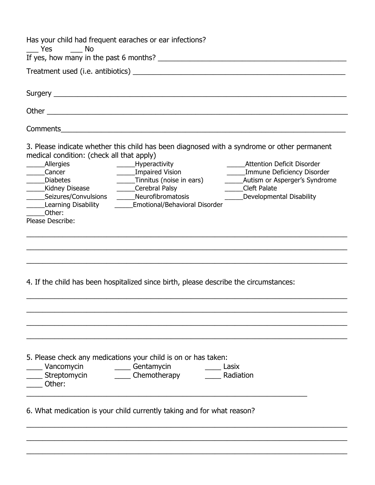| $\frac{1}{2}$ Yes $\frac{1}{2}$ No                                                                                                                                                                     | Has your child had frequent earaches or ear infections?                                                                                                                                                                                                            |                                                                                                                   |
|--------------------------------------------------------------------------------------------------------------------------------------------------------------------------------------------------------|--------------------------------------------------------------------------------------------------------------------------------------------------------------------------------------------------------------------------------------------------------------------|-------------------------------------------------------------------------------------------------------------------|
|                                                                                                                                                                                                        |                                                                                                                                                                                                                                                                    |                                                                                                                   |
|                                                                                                                                                                                                        |                                                                                                                                                                                                                                                                    |                                                                                                                   |
|                                                                                                                                                                                                        |                                                                                                                                                                                                                                                                    |                                                                                                                   |
|                                                                                                                                                                                                        |                                                                                                                                                                                                                                                                    |                                                                                                                   |
|                                                                                                                                                                                                        |                                                                                                                                                                                                                                                                    |                                                                                                                   |
|                                                                                                                                                                                                        |                                                                                                                                                                                                                                                                    |                                                                                                                   |
| medical condition: (check all that apply)<br>_____Allergies<br>_____Cancer<br>_____Diabetes<br>______Kidney Disease<br>______Seizures/Convulsions<br>Learning Disability<br>Other:<br>Please Describe: | 3. Please indicate whether this child has been diagnosed with a syndrome or other permanent<br>______Hyperactivity<br>______Impaired Vision<br>______Tinnitus (noise in ears)<br>Cerebral Palsy<br>______Neurofibromatosis<br><b>Emotional/Behavioral Disorder</b> | <b>Attention Deficit Disorder</b><br>______Immune Deficiency Disorder<br>Cleft Palate<br>Developmental Disability |
|                                                                                                                                                                                                        | 4. If the child has been hospitalized since birth, please describe the circumstances:                                                                                                                                                                              |                                                                                                                   |
| ______ Vancomycin _______________Gentamycin<br>______ Streptomycin _____________ Chemotherapy<br>Other:                                                                                                | 5. Please check any medications your child is on or has taken:<br><u>____</u> Lasix<br><b>Radiation</b><br>6. What medication is your child currently taking and for what reason?                                                                                  |                                                                                                                   |
|                                                                                                                                                                                                        |                                                                                                                                                                                                                                                                    |                                                                                                                   |
|                                                                                                                                                                                                        |                                                                                                                                                                                                                                                                    |                                                                                                                   |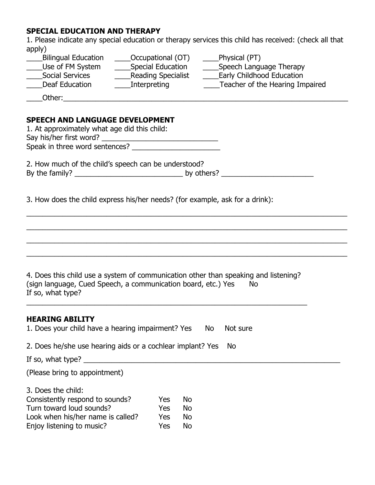## **SPECIAL EDUCATION AND THERAPY**

1. Please indicate any special education or therapy services this child has received: (check all that apply)

| <b>Bilingual Education</b> | Occupational (OT)        | Physical (PT)                   |
|----------------------------|--------------------------|---------------------------------|
| Use of FM System           | <b>Special Education</b> | Speech Language Therapy         |
| <b>Social Services</b>     | Reading Specialist       | Early Childhood Education       |
| Deaf Education             | Interpreting             | Teacher of the Hearing Impaired |
|                            |                          |                                 |

 $\_Other:\_\_\_\_\_\_\_\_\_$ 

## **SPEECH AND LANGUAGE DEVELOPMENT**

Turn toward loud sounds? Yes No Look when his/her name is called? Yes No Enjoy listening to music? Yes No

| SPEECH AND LANGUAGE DEVELOPMENT<br>1. At approximately what age did this child:                                                                                              |
|------------------------------------------------------------------------------------------------------------------------------------------------------------------------------|
|                                                                                                                                                                              |
| 2. How much of the child's speech can be understood?                                                                                                                         |
| 3. How does the child express his/her needs? (for example, ask for a drink):                                                                                                 |
|                                                                                                                                                                              |
| 4. Does this child use a system of communication other than speaking and listening?<br>(sign language, Cued Speech, a communication board, etc.) Yes No<br>If so, what type? |
| <b>HEARING ABILITY</b><br>1. Does your child have a hearing impairment? Yes No<br>Not sure                                                                                   |
| 2. Does he/she use hearing aids or a cochlear implant? Yes<br><b>No</b>                                                                                                      |
|                                                                                                                                                                              |
| (Please bring to appointment)                                                                                                                                                |
| 3. Does the child:<br>Consistently respond to sounds?<br><b>Yes</b><br>No.                                                                                                   |